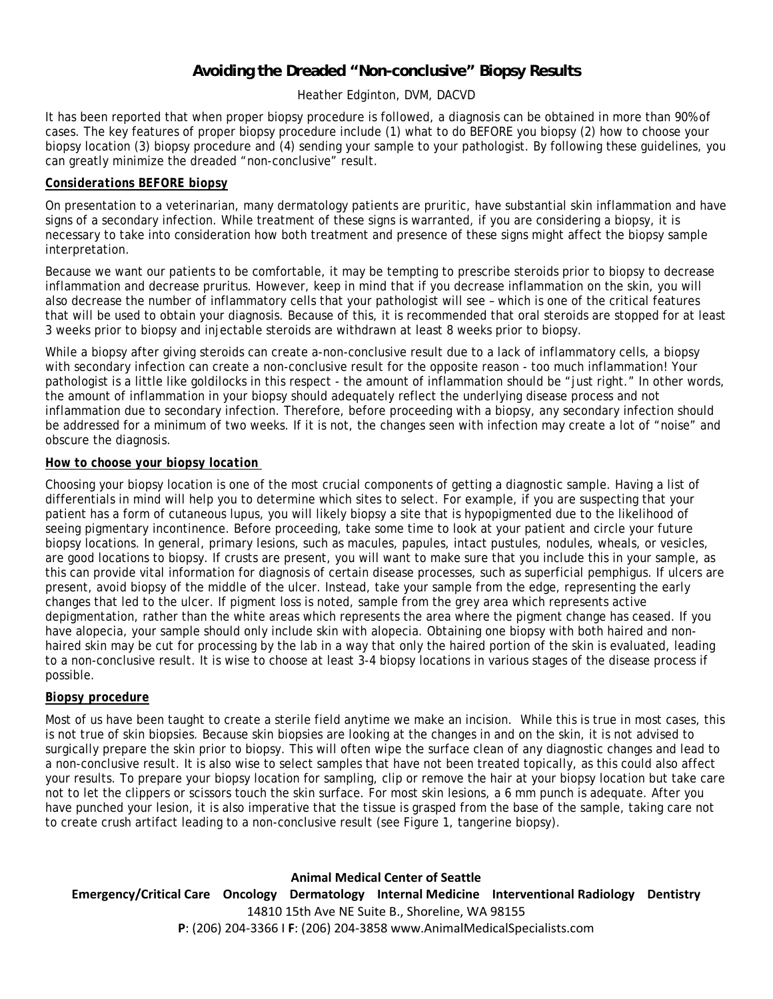# **Avoiding the Dreaded "Non-conclusive" Biopsy Results**

## Heather Edginton, DVM, DACVD

It has been reported that when proper biopsy procedure is followed, a diagnosis can be obtained in more than 90% of cases. The key features of proper biopsy procedure include (1) what to do BEFORE you biopsy (2) how to choose your biopsy location (3) biopsy procedure and (4) sending your sample to your pathologist. By following these guidelines, you can greatly minimize the dreaded "non-conclusive" result.

# *Considerations BEFORE biopsy*

On presentation to a veterinarian, many dermatology patients are pruritic, have substantial skin inflammation and have signs of a secondary infection. While treatment of these signs is warranted, if you are considering a biopsy, it is necessary to take into consideration how both treatment and presence of these signs might affect the biopsy sample interpretation.

Because we want our patients to be comfortable, it may be tempting to prescribe steroids prior to biopsy to decrease inflammation and decrease pruritus. However, keep in mind that if you decrease inflammation on the skin, you will also decrease the number of inflammatory cells that your pathologist will see – which is one of the critical features that will be used to obtain your diagnosis. Because of this, it is recommended that oral steroids are stopped for at least 3 weeks prior to biopsy and injectable steroids are withdrawn at least 8 weeks prior to biopsy.

While a biopsy after giving steroids can create a-non-conclusive result due to a lack of inflammatory cells, a biopsy with secondary infection can create a non-conclusive result for the opposite reason - too much inflammation! Your pathologist is a little like goldilocks in this respect - the amount of inflammation should be "just right." In other words, the amount of inflammation in your biopsy should adequately reflect the underlying disease process and not inflammation due to secondary infection. Therefore, before proceeding with a biopsy, any secondary infection should be addressed for a minimum of two weeks. If it is not, the changes seen with infection may create a lot of "noise" and obscure the diagnosis.

## *How to choose your biopsy location*

Choosing your biopsy location is one of the most crucial components of getting a diagnostic sample. Having a list of differentials in mind will help you to determine which sites to select. For example, if you are suspecting that your patient has a form of cutaneous lupus, you will likely biopsy a site that is hypopigmented due to the likelihood of seeing pigmentary incontinence. Before proceeding, take some time to look at your patient and circle your future biopsy locations. In general, primary lesions, such as macules, papules, intact pustules, nodules, wheals, or vesicles, are good locations to biopsy. If crusts are present, you will want to make sure that you include this in your sample, as this can provide vital information for diagnosis of certain disease processes, such as superficial pemphigus. If ulcers are present, avoid biopsy of the middle of the ulcer. Instead, take your sample from the edge, representing the early changes that led to the ulcer. If pigment loss is noted, sample from the grey area which represents active depigmentation, rather than the white areas which represents the area where the pigment change has ceased. If you have alopecia, your sample should only include skin with alopecia. Obtaining one biopsy with both haired and nonhaired skin may be cut for processing by the lab in a way that only the haired portion of the skin is evaluated, leading to a non-conclusive result. It is wise to choose at least 3-4 biopsy locations in various stages of the disease process if possible.

#### *Biopsy procedure*

Most of us have been taught to create a sterile field anytime we make an incision. While this is true in most cases, this is not true of skin biopsies. Because skin biopsies are looking at the changes in and on the skin, it is not advised to surgically prepare the skin prior to biopsy. This will often wipe the surface clean of any diagnostic changes and lead to a non-conclusive result. It is also wise to select samples that have not been treated topically, as this could also affect your results. To prepare your biopsy location for sampling, clip or remove the hair at your biopsy location but take care not to let the clippers or scissors touch the skin surface. For most skin lesions, a 6 mm punch is adequate. After you have punched your lesion, it is also imperative that the tissue is grasped from the base of the sample, taking care not to create crush artifact leading to a non-conclusive result (see Figure 1, tangerine biopsy).

**Animal Medical Center of Seattle Emergency/Critical Care Oncology Dermatology Internal Medicine Interventional Radiology Dentistry** 14810 15th Ave NE Suite B., Shoreline, WA 98155

**P**: (206) 204‐3366 I **F**: (206) 204‐3858 www.AnimalMedicalSpecialists.com